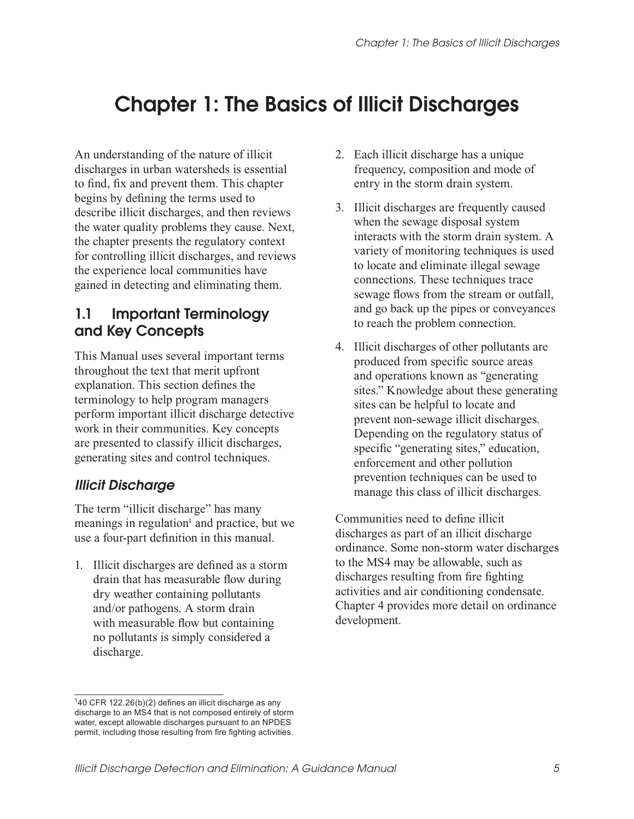# Chapter 1: The Basics of Illicit Discharges

An understanding of the nature of illicit discharges in urban watersheds is essential to find, fix and prevent them. This chapter begins by defining the terms used to describe illicit discharges, and then reviews the water quality problems they cause. Next, the chapter presents the regulatory context for controlling illicit discharges, and reviews the experience local communities have gained in detecting and eliminating them.

## 1.1 Important Terminology and Key Concepts

This Manual uses several important terms throughout the text that merit upfront explanation. This section defines the terminology to help program managers perform important illicit discharge detective work in their communities. Key concepts are presented to classify illicit discharges, generating sites and control techniques.

#### Illicit Discharge

The term "illicit discharge" has many meanings in regulation<sup>1</sup> and practice, but we use a four-part definition in this manual.

1. Illicit discharges are defined as a storm drain that has measurable flow during dry weather containing pollutants and/or pathogens. A storm drain with measurable flow but containing no pollutants is simply considered a discharge.

- 2. Each illicit discharge has a unique frequency, composition and mode of entry in the storm drain system.
- 3. Illicit discharges are frequently caused when the sewage disposal system interacts with the storm drain system. A variety of monitoring techniques is used to locate and eliminate illegal sewage connections. These techniques trace sewage flows from the stream or outfall, and go back up the pipes or conveyances to reach the problem connection.
- 4. Illicit discharges of other pollutants are produced from specific source areas and operations known as "generating sites." Knowledge about these generating sites can be helpful to locate and prevent non-sewage illicit discharges. Depending on the regulatory status of specific "generating sites," education, enforcement and other pollution prevention techniques can be used to manage this class of illicit discharges.

Communities need to define illicit discharges as part of an illicit discharge ordinance. Some non-storm water discharges to the MS4 may be allowable, such as discharges resulting from fire fighting activities and air conditioning condensate. Chapter 4 provides more detail on ordinance development.

 $140$  CFR 122.26(b)(2) defines an illicit discharge as any discharge to an MS4 that is not composed entirely of storm water, except allowable discharges pursuant to an NPDES permit, including those resulting from fire fighting activities.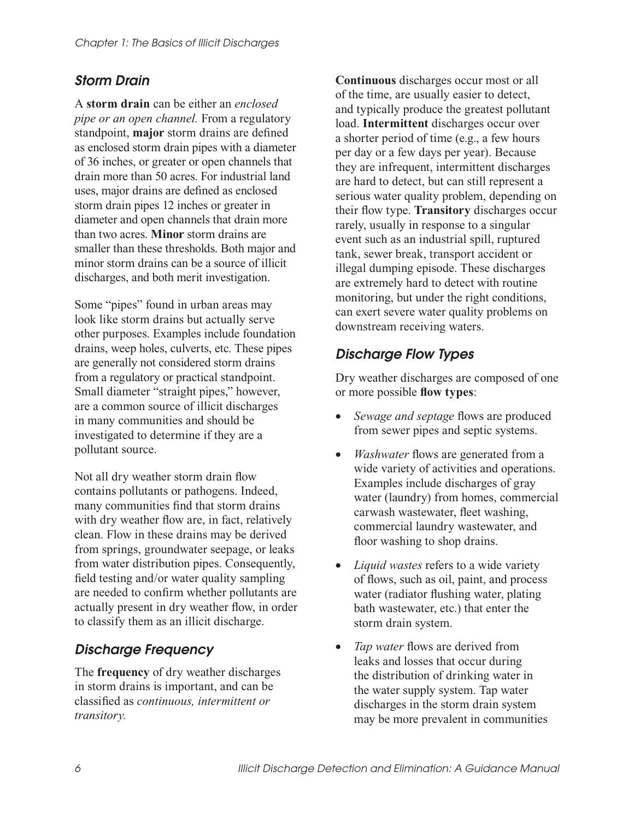#### Storm Drain

A **storm drain** can be either an *enclosed pipe or an open channel.* From a regulatory standpoint, **major** storm drains are defined as enclosed storm drain pipes with a diameter of 36 inches, or greater or open channels that drain more than 50 acres. For industrial land uses, major drains are defined as enclosed storm drain pipes 12 inches or greater in diameter and open channels that drain more than two acres. **Minor** storm drains are smaller than these thresholds. Both major and minor storm drains can be a source of illicit discharges, and both merit investigation.

Some "pipes" found in urban areas may look like storm drains but actually serve other purposes. Examples include foundation drains, weep holes, culverts, etc. These pipes are generally not considered storm drains from a regulatory or practical standpoint. Small diameter "straight pipes," however, are a common source of illicit discharges in many communities and should be investigated to determine if they are a pollutant source.

Not all dry weather storm drain flow contains pollutants or pathogens. Indeed, many communities find that storm drains with dry weather flow are, in fact, relatively clean. Flow in these drains may be derived from springs, groundwater seepage, or leaks from water distribution pipes. Consequently, field testing and/or water quality sampling are needed to confirm whether pollutants are actually present in dry weather flow, in order to classify them as an illicit discharge.

## Discharge Frequency

The **frequency** of dry weather discharges in storm drains is important, and can be classified as *continuous, intermittent or transitory.*

**Continuous** discharges occur most or all of the time, are usually easier to detect, and typically produce the greatest pollutant load. **Intermittent** discharges occur over a shorter period of time (e.g., a few hours per day or a few days per year). Because they are infrequent, intermittent discharges are hard to detect, but can still represent a serious water quality problem, depending on their flow type. **Transitory** discharges occur rarely, usually in response to a singular event such as an industrial spill, ruptured tank, sewer break, transport accident or illegal dumping episode. These discharges are extremely hard to detect with routine monitoring, but under the right conditions, can exert severe water quality problems on downstream receiving waters.

## Discharge Flow Types

Dry weather discharges are composed of one or more possible **flow types**:

- *Sewage and septage* flows are produced from sewer pipes and septic systems.
- *Washwater* flows are generated from a wide variety of activities and operations. Examples include discharges of gray water (laundry) from homes, commercial carwash wastewater, fleet washing, commercial laundry wastewater, and floor washing to shop drains.
- *Liquid wastes* refers to a wide variety of flows, such as oil, paint, and process water (radiator flushing water, plating bath wastewater, etc.) that enter the storm drain system.
- *Tap water* flows are derived from leaks and losses that occur during the distribution of drinking water in the water supply system. Tap water discharges in the storm drain system may be more prevalent in communities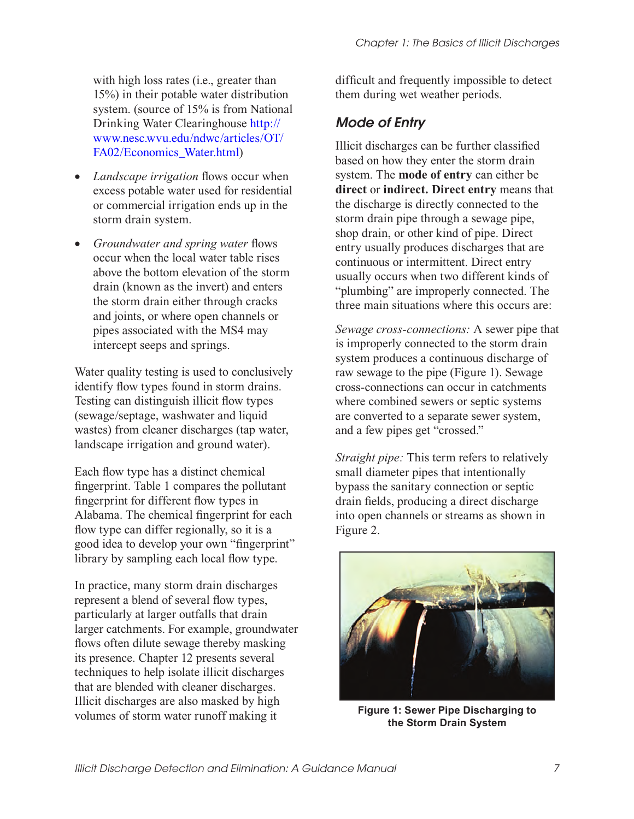with high loss rates *(i.e., greater than*) 15%) in their potable water distribution system. (source of 15% is from National Drinking Water Clearinghouse http:// [www.nesc.wvu.edu/ndwc/articles/OT/](http://www.nesc.wvu.edu/ndwc/articles/OT/FA02/Economics_Water.html) FA02/Economics\_Water.html)

- *Landscape irrigation* flows occur when excess potable water used for residential or commercial irrigation ends up in the storm drain system.
- *Groundwater and spring water* flows occur when the local water table rises above the bottom elevation of the storm drain (known as the invert) and enters the storm drain either through cracks and joints, or where open channels or pipes associated with the MS4 may intercept seeps and springs.

Water quality testing is used to conclusively identify flow types found in storm drains. Testing can distinguish illicit flow types (sewage/septage, washwater and liquid wastes) from cleaner discharges (tap water, landscape irrigation and ground water).

Each flow type has a distinct chemical fingerprint. Table 1 compares the pollutant fingerprint for different flow types in Alabama. The chemical fingerprint for each flow type can differ regionally, so it is a good idea to develop your own "fingerprint" library by sampling each local flow type.

In practice, many storm drain discharges represent a blend of several flow types, particularly at larger outfalls that drain larger catchments. For example, groundwater flows often dilute sewage thereby masking its presence. Chapter 12 presents several techniques to help isolate illicit discharges that are blended with cleaner discharges. Illicit discharges are also masked by high volumes of storm water runoff making it

difficult and frequently impossible to detect them during wet weather periods.

## Mode of Entry

Illicit discharges can be further classified based on how they enter the storm drain system. The **mode of entry** can either be **direct** or **indirect. Direct entry** means that the discharge is directly connected to the storm drain pipe through a sewage pipe, shop drain, or other kind of pipe. Direct entry usually produces discharges that are continuous or intermittent. Direct entry usually occurs when two different kinds of "plumbing" are improperly connected. The three main situations where this occurs are:

*Sewage cross-connections:* A sewer pipe that is improperly connected to the storm drain system produces a continuous discharge of raw sewage to the pipe (Figure 1). Sewage cross-connections can occur in catchments where combined sewers or septic systems are converted to a separate sewer system, and a few pipes get "crossed."

*Straight pipe:* This term refers to relatively small diameter pipes that intentionally bypass the sanitary connection or septic drain fields, producing a direct discharge into open channels or streams as shown in Figure 2.



**Figure 1: Sewer Pipe Discharging to the Storm Drain System**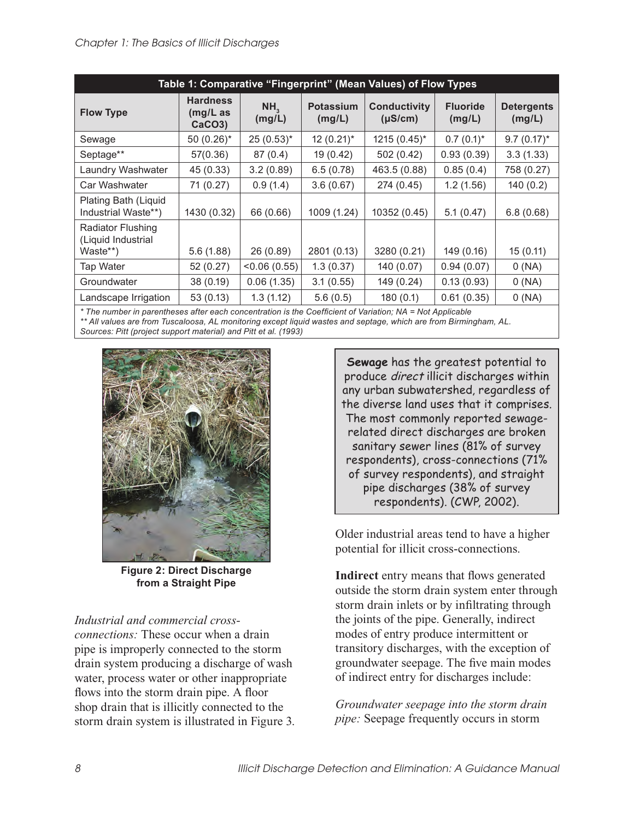| Table 1: Comparative "Fingerprint" (Mean Values) of Flow Types |                                                       |                           |                            |                                     |                           |                             |  |
|----------------------------------------------------------------|-------------------------------------------------------|---------------------------|----------------------------|-------------------------------------|---------------------------|-----------------------------|--|
| <b>Flow Type</b>                                               | <b>Hardness</b><br>$(mg/L)$ as<br>CaCO <sub>3</sub> ) | NH <sub>3</sub><br>(mg/L) | <b>Potassium</b><br>(mg/L) | <b>Conductivity</b><br>$(\mu S/cm)$ | <b>Fluoride</b><br>(mg/L) | <b>Detergents</b><br>(mg/L) |  |
| Sewage                                                         | $50(0.26)$ *                                          | $25(0.53)^*$              | $12(0.21)$ *               | $1215(0.45)^{*}$                    | $0.7(0.1)^{*}$            | $9.7(0.17)^*$               |  |
| Septage**                                                      | 57(0.36)                                              | 87(0.4)                   | 19 (0.42)                  | 502 (0.42)                          | 0.93(0.39)                | 3.3(1.33)                   |  |
| Laundry Washwater                                              | 45 (0.33)                                             | 3.2(0.89)                 | 6.5(0.78)                  | 463.5 (0.88)                        | 0.85(0.4)                 | 758 (0.27)                  |  |
| Car Washwater                                                  | 71 (0.27)                                             | 0.9(1.4)                  | 3.6(0.67)                  | 274 (0.45)                          | 1.2(1.56)                 | 140(0.2)                    |  |
| Plating Bath (Liquid<br>Industrial Waste**)                    | 1430 (0.32)                                           | 66 (0.66)                 | 1009 (1.24)                | 10352 (0.45)                        | 5.1(0.47)                 | 6.8(0.68)                   |  |
| <b>Radiator Flushing</b><br>(Liquid Industrial                 |                                                       |                           |                            |                                     |                           |                             |  |
| Waste**)                                                       | 5.6(1.88)                                             | 26 (0.89)                 | 2801 (0.13)                | 3280 (0.21)                         | 149 (0.16)                | 15(0.11)                    |  |
| Tap Water                                                      | 52(0.27)                                              | < 0.06(0.55)              | 1.3(0.37)                  | 140 (0.07)                          | 0.94(0.07)                | 0(NA)                       |  |
| Groundwater                                                    | 38 (0.19)                                             | 0.06(1.35)                | 3.1(0.55)                  | 149 (0.24)                          | 0.13(0.93)                | 0(NA)                       |  |
| Landscape Irrigation                                           | 53(0.13)                                              | 1.3(1.12)                 | 5.6(0.5)                   | 180(0.1)                            | 0.61(0.35)                | 0(NA)                       |  |

*\* The number in parentheses after each concentration is the Coefficient of Variation; NA = Not Applicable \*\* All values are from Tuscaloosa, AL monitoring except liquid wastes and septage, which are from Birmingham, AL. Sources: Pitt (project support material) and Pitt et al. (1993)* 



**Figure 2: Direct Discharge from a Straight Pipe** 

*Industrial and commercial crossconnections:* These occur when a drain pipe is improperly connected to the storm drain system producing a discharge of wash water, process water or other inappropriate flows into the storm drain pipe. A floor shop drain that is illicitly connected to the storm drain system is illustrated in Figure 3.

**Sewage** has the greatest potential to produce direct illicit discharges within any urban subwatershed, regardless of the diverse land uses that it comprises. The most commonly reported sewagerelated direct discharges are broken sanitary sewer lines (81% of survey respondents), cross-connections (71% of survey respondents), and straight pipe discharges (38% of survey respondents). (CWP, 2002).

Older industrial areas tend to have a higher potential for illicit cross-connections.

**Indirect** entry means that flows generated outside the storm drain system enter through storm drain inlets or by infiltrating through the joints of the pipe. Generally, indirect modes of entry produce intermittent or transitory discharges, with the exception of groundwater seepage. The five main modes of indirect entry for discharges include:

*Groundwater seepage into the storm drain pipe:* Seepage frequently occurs in storm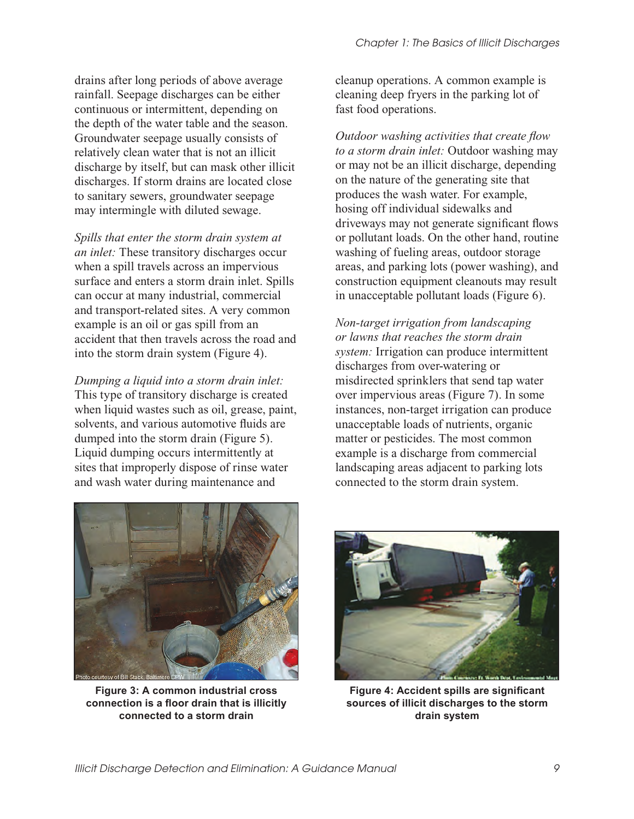drains after long periods of above average rainfall. Seepage discharges can be either continuous or intermittent, depending on the depth of the water table and the season. Groundwater seepage usually consists of relatively clean water that is not an illicit discharge by itself, but can mask other illicit discharges. If storm drains are located close to sanitary sewers, groundwater seepage may intermingle with diluted sewage.

*Spills that enter the storm drain system at an inlet:* These transitory discharges occur when a spill travels across an impervious surface and enters a storm drain inlet. Spills can occur at many industrial, commercial and transport-related sites. A very common example is an oil or gas spill from an accident that then travels across the road and into the storm drain system (Figure 4).

*Dumping a liquid into a storm drain inlet:*  This type of transitory discharge is created when liquid wastes such as oil, grease, paint, solvents, and various automotive fluids are dumped into the storm drain (Figure 5). Liquid dumping occurs intermittently at sites that improperly dispose of rinse water and wash water during maintenance and

cleanup operations. A common example is cleaning deep fryers in the parking lot of fast food operations.

*Outdoor washing activities that create flow to a storm drain inlet:* Outdoor washing may or may not be an illicit discharge, depending on the nature of the generating site that produces the wash water. For example, hosing off individual sidewalks and driveways may not generate significant flows or pollutant loads. On the other hand, routine washing of fueling areas, outdoor storage areas, and parking lots (power washing), and construction equipment cleanouts may result in unacceptable pollutant loads (Figure 6).

*Non-target irrigation from landscaping or lawns that reaches the storm drain system:* Irrigation can produce intermittent discharges from over-watering or misdirected sprinklers that send tap water over impervious areas (Figure 7). In some instances, non-target irrigation can produce unacceptable loads of nutrients, organic matter or pesticides. The most common example is a discharge from commercial landscaping areas adjacent to parking lots connected to the storm drain system.



**Figure 3: A common industrial cross connection is a floor drain that is illicitly connected to a storm drain** 



**Figure 4: Accident spills are significant sources of illicit discharges to the storm drain system**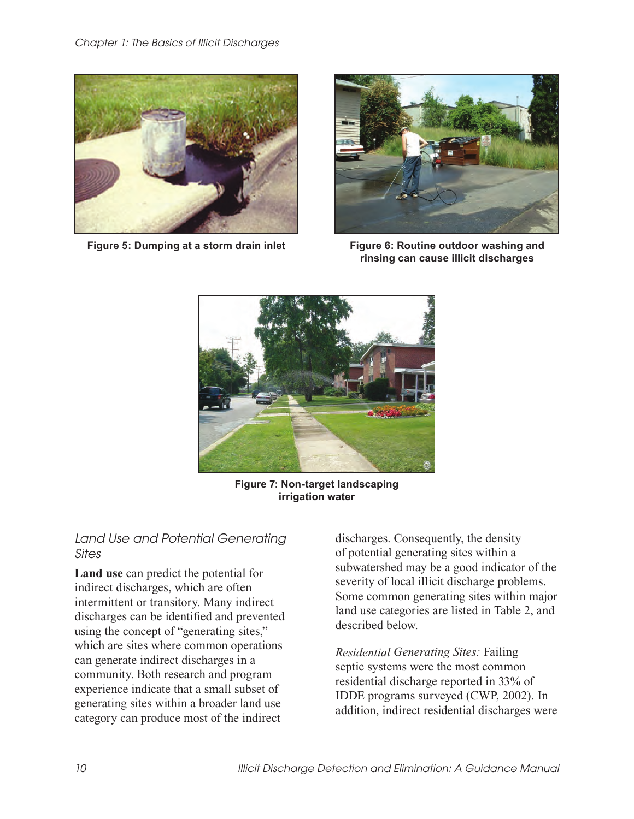

**Figure 5: Dumping at a storm drain inlet Figure 6: Routine outdoor washing and** 



**rinsing can cause illicit discharges** 



**Figure 7: Non-target landscaping irrigation water**

#### Land Use and Potential Generating **Sites**

**Land use** can predict the potential for indirect discharges, which are often intermittent or transitory. Many indirect discharges can be identified and prevented using the concept of "generating sites," which are sites where common operations can generate indirect discharges in a community. Both research and program experience indicate that a small subset of generating sites within a broader land use category can produce most of the indirect

discharges. Consequently, the density of potential generating sites within a subwatershed may be a good indicator of the severity of local illicit discharge problems. Some common generating sites within major land use categories are listed in Table 2, and described below.

*Residential Generating Sites:* Failing septic systems were the most common residential discharge reported in 33% of IDDE programs surveyed (CWP, 2002). In addition, indirect residential discharges were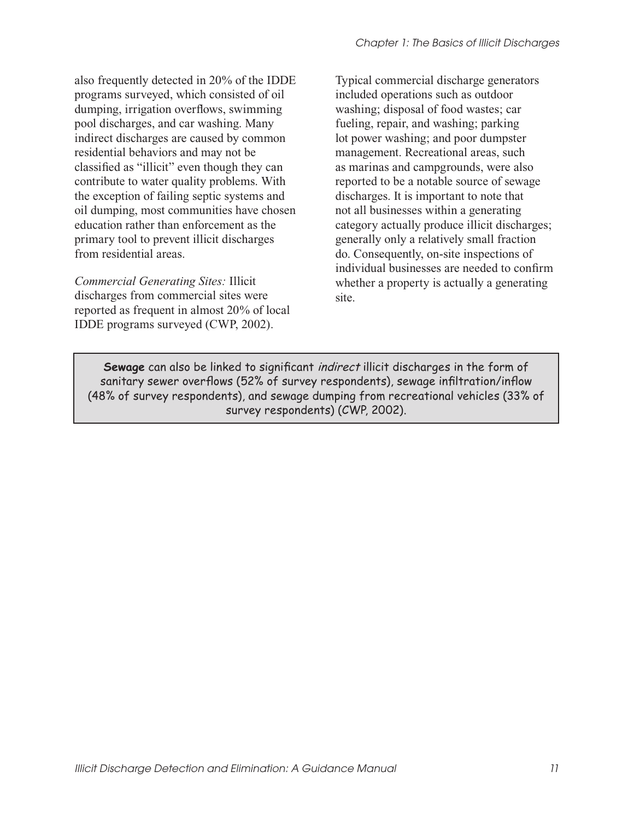also frequently detected in 20% of the IDDE programs surveyed, which consisted of oil dumping, irrigation overflows, swimming pool discharges, and car washing. Many indirect discharges are caused by common residential behaviors and may not be classified as "illicit" even though they can contribute to water quality problems. With the exception of failing septic systems and oil dumping, most communities have chosen education rather than enforcement as the primary tool to prevent illicit discharges from residential areas.

*Commercial Generating Sites:* Illicit discharges from commercial sites were reported as frequent in almost 20% of local IDDE programs surveyed (CWP, 2002).

Typical commercial discharge generators included operations such as outdoor washing; disposal of food wastes; car fueling, repair, and washing; parking lot power washing; and poor dumpster management. Recreational areas, such as marinas and campgrounds, were also reported to be a notable source of sewage discharges. It is important to note that not all businesses within a generating category actually produce illicit discharges; generally only a relatively small fraction do. Consequently, on-site inspections of individual businesses are needed to confirm whether a property is actually a generating site.

**Sewage** can also be linked to significant indirect illicit discharges in the form of sanitary sewer overflows (52% of survey respondents), sewage infiltration/inflow (48% of survey respondents), and sewage dumping from recreational vehicles (33% of survey respondents) (CWP, 2002).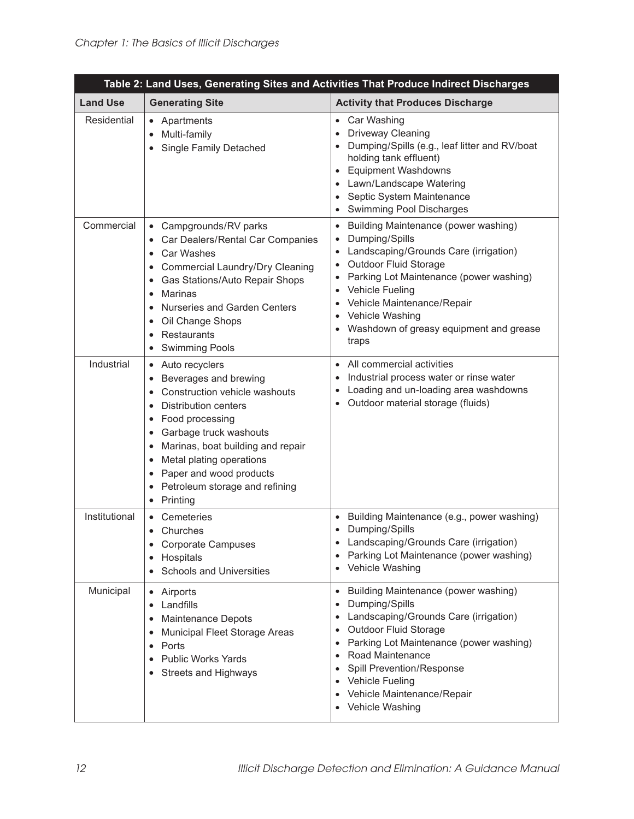| Table 2: Land Uses, Generating Sites and Activities That Produce Indirect Discharges |                                                                                                                                                                                                                                                                                                                |                                                                                                                                                                                                                                                                                                                                                                                                                                |  |  |  |
|--------------------------------------------------------------------------------------|----------------------------------------------------------------------------------------------------------------------------------------------------------------------------------------------------------------------------------------------------------------------------------------------------------------|--------------------------------------------------------------------------------------------------------------------------------------------------------------------------------------------------------------------------------------------------------------------------------------------------------------------------------------------------------------------------------------------------------------------------------|--|--|--|
| <b>Land Use</b>                                                                      | <b>Generating Site</b>                                                                                                                                                                                                                                                                                         | <b>Activity that Produces Discharge</b>                                                                                                                                                                                                                                                                                                                                                                                        |  |  |  |
| Residential                                                                          | • Apartments<br>Multi-family<br>$\bullet$<br>• Single Family Detached                                                                                                                                                                                                                                          | Car Washing<br>$\bullet$<br>Driveway Cleaning<br>$\bullet$<br>Dumping/Spills (e.g., leaf litter and RV/boat<br>$\bullet$<br>holding tank effluent)<br><b>Equipment Washdowns</b><br>$\bullet$<br>Lawn/Landscape Watering<br>$\bullet$<br>Septic System Maintenance<br>$\bullet$<br>Swimming Pool Discharges<br>$\bullet$                                                                                                       |  |  |  |
| Commercial                                                                           | • Campgrounds/RV parks<br>Car Dealers/Rental Car Companies<br>• Car Washes<br>• Commercial Laundry/Dry Cleaning<br>• Gas Stations/Auto Repair Shops<br>Marinas<br>Nurseries and Garden Centers<br>$\bullet$<br>• Oil Change Shops<br>Restaurants<br>$\bullet$<br><b>Swimming Pools</b>                         | Building Maintenance (power washing)<br>$\bullet$<br>Dumping/Spills<br>$\bullet$<br>Landscaping/Grounds Care (irrigation)<br>$\bullet$<br><b>Outdoor Fluid Storage</b><br>$\bullet$<br>Parking Lot Maintenance (power washing)<br>$\bullet$<br><b>Vehicle Fueling</b><br>$\bullet$<br>Vehicle Maintenance/Repair<br>$\bullet$<br>Vehicle Washing<br>$\bullet$<br>Washdown of greasy equipment and grease<br>$\bullet$<br>traps |  |  |  |
| Industrial                                                                           | • Auto recyclers<br>Beverages and brewing<br>Construction vehicle washouts<br><b>Distribution centers</b><br>• Food processing<br>• Garbage truck washouts<br>• Marinas, boat building and repair<br>• Metal plating operations<br>• Paper and wood products<br>• Petroleum storage and refining<br>• Printing | All commercial activities<br>$\bullet$<br>Industrial process water or rinse water<br>$\bullet$<br>Loading and un-loading area washdowns<br>$\bullet$<br>Outdoor material storage (fluids)                                                                                                                                                                                                                                      |  |  |  |
| Institutional                                                                        | • Cemeteries<br>• Churches<br><b>Corporate Campuses</b><br>Hospitals<br>٠<br><b>Schools and Universities</b>                                                                                                                                                                                                   | Building Maintenance (e.g., power washing)<br>$\bullet$<br>Dumping/Spills<br>$\bullet$<br>Landscaping/Grounds Care (irrigation)<br>Parking Lot Maintenance (power washing)<br>$\bullet$<br>Vehicle Washing<br>٠                                                                                                                                                                                                                |  |  |  |
| Municipal                                                                            | Airports<br>Landfills<br>$\bullet$<br><b>Maintenance Depots</b><br>Municipal Fleet Storage Areas<br>Ports<br>$\bullet$<br><b>Public Works Yards</b><br>Streets and Highways                                                                                                                                    | Building Maintenance (power washing)<br>$\bullet$<br>Dumping/Spills<br>٠<br>Landscaping/Grounds Care (irrigation)<br>٠<br>Outdoor Fluid Storage<br>$\bullet$<br>Parking Lot Maintenance (power washing)<br>٠<br>Road Maintenance<br>$\bullet$<br>Spill Prevention/Response<br>$\bullet$<br><b>Vehicle Fueling</b><br>٠<br>Vehicle Maintenance/Repair<br>Vehicle Washing                                                        |  |  |  |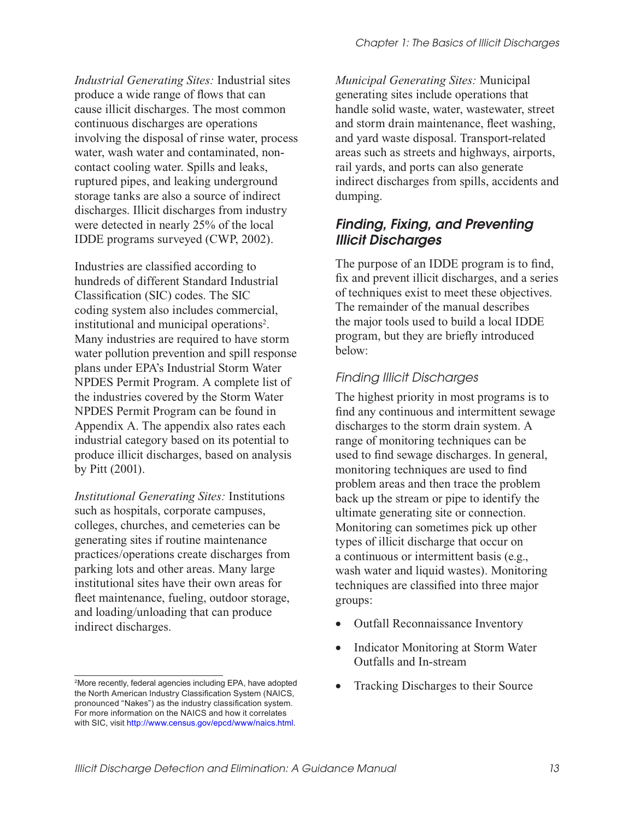*Industrial Generating Sites:* Industrial sites produce a wide range of flows that can cause illicit discharges. The most common continuous discharges are operations involving the disposal of rinse water, process water, wash water and contaminated, noncontact cooling water. Spills and leaks, ruptured pipes, and leaking underground storage tanks are also a source of indirect discharges. Illicit discharges from industry were detected in nearly 25% of the local IDDE programs surveyed (CWP, 2002).

Industries are classified according to hundreds of different Standard Industrial Classification (SIC) codes. The SIC coding system also includes commercial, institutional and municipal operations<sup>2</sup>. Many industries are required to have storm water pollution prevention and spill response plans under EPA's Industrial Storm Water NPDES Permit Program. A complete list of the industries covered by the Storm Water NPDES Permit Program can be found in Appendix A. The appendix also rates each industrial category based on its potential to produce illicit discharges, based on analysis by Pitt (2001).

*Institutional Generating Sites:* Institutions such as hospitals, corporate campuses, colleges, churches, and cemeteries can be generating sites if routine maintenance practices/operations create discharges from parking lots and other areas. Many large institutional sites have their own areas for fleet maintenance, fueling, outdoor storage, and loading/unloading that can produce indirect discharges.

*Municipal Generating Sites:* Municipal generating sites include operations that handle solid waste, water, wastewater, street and storm drain maintenance, fleet washing, and yard waste disposal. Transport-related areas such as streets and highways, airports, rail yards, and ports can also generate indirect discharges from spills, accidents and dumping.

### Finding, Fixing, and Preventing Illicit Discharges

The purpose of an IDDE program is to find, fix and prevent illicit discharges, and a series of techniques exist to meet these objectives. The remainder of the manual describes the major tools used to build a local IDDE program, but they are briefly introduced below:

#### Finding Illicit Discharges

The highest priority in most programs is to find any continuous and intermittent sewage discharges to the storm drain system. A range of monitoring techniques can be used to find sewage discharges. In general, monitoring techniques are used to find problem areas and then trace the problem back up the stream or pipe to identify the ultimate generating site or connection. Monitoring can sometimes pick up other types of illicit discharge that occur on a continuous or intermittent basis (e.g., wash water and liquid wastes). Monitoring techniques are classified into three major groups:

- Outfall Reconnaissance Inventory
- Indicator Monitoring at Storm Water Outfalls and In-stream
- Tracking Discharges to their Source

<sup>2</sup>More recently, federal agencies including EPA, have adopted the North American Industry Classification System (NAICS, pronounced "Nakes") as the industry classification system. For more information on the NAICS and how it correlates with SIC, visit http://www.census.gov/epcd/www/naics.html.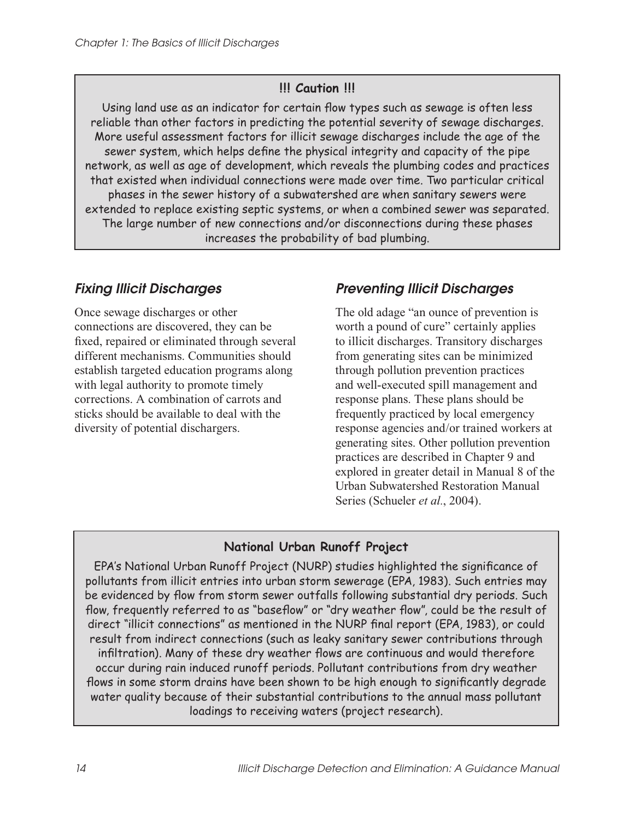#### **!!! Caution !!!**

Using land use as an indicator for certain flow types such as sewage is often less reliable than other factors in predicting the potential severity of sewage discharges. More useful assessment factors for illicit sewage discharges include the age of the sewer system, which helps define the physical integrity and capacity of the pipe network, as well as age of development, which reveals the plumbing codes and practices that existed when individual connections were made over time. Two particular critical phases in the sewer history of a subwatershed are when sanitary sewers were extended to replace existing septic systems, or when a combined sewer was separated. The large number of new connections and/or disconnections during these phases increases the probability of bad plumbing.

## Fixing Illicit Discharges

Once sewage discharges or other connections are discovered, they can be fixed, repaired or eliminated through several different mechanisms. Communities should establish targeted education programs along with legal authority to promote timely corrections. A combination of carrots and sticks should be available to deal with the diversity of potential dischargers.

## Preventing Illicit Discharges

The old adage "an ounce of prevention is worth a pound of cure" certainly applies to illicit discharges. Transitory discharges from generating sites can be minimized through pollution prevention practices and well-executed spill management and response plans. These plans should be frequently practiced by local emergency response agencies and/or trained workers at generating sites. Other pollution prevention practices are described in Chapter 9 and explored in greater detail in Manual 8 of the Urban Subwatershed Restoration Manual Series (Schueler *et al.*, 2004).

#### **National Urban Runoff Project**

EPA's National Urban Runoff Project (NURP) studies highlighted the significance of pollutants from illicit entries into urban storm sewerage (EPA, 1983). Such entries may be evidenced by flow from storm sewer outfalls following substantial dry periods. Such flow, frequently referred to as "baseflow" or "dry weather flow", could be the result of direct "illicit connections" as mentioned in the NURP final report (EPA, 1983), or could result from indirect connections (such as leaky sanitary sewer contributions through infiltration). Many of these dry weather flows are continuous and would therefore occur during rain induced runoff periods. Pollutant contributions from dry weather flows in some storm drains have been shown to be high enough to significantly degrade water quality because of their substantial contributions to the annual mass pollutant loadings to receiving waters (project research).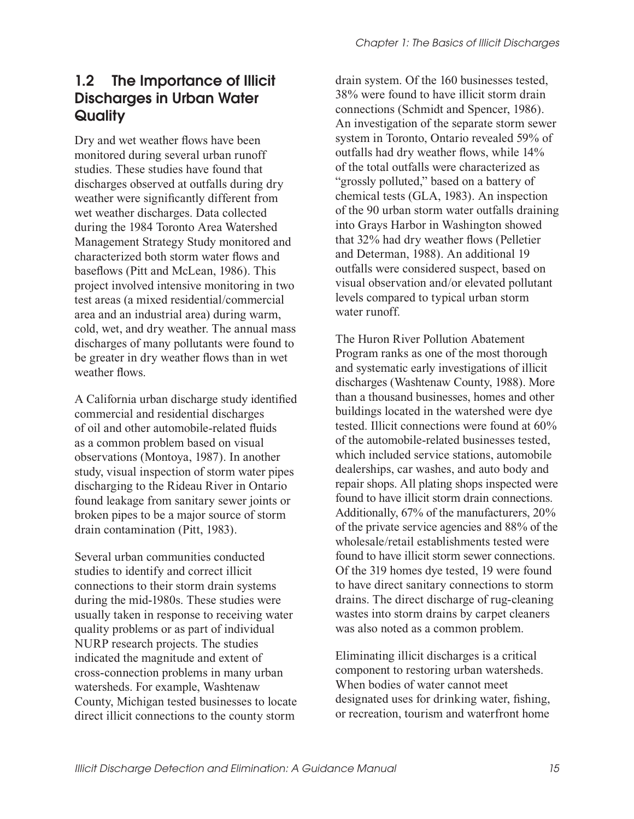# 1.2 The Importance of Illicit Discharges in Urban Water **Quality**

Dry and wet weather flows have been monitored during several urban runoff studies. These studies have found that discharges observed at outfalls during dry weather were significantly different from wet weather discharges. Data collected during the 1984 Toronto Area Watershed Management Strategy Study monitored and characterized both storm water flows and baseflows (Pitt and McLean, 1986). This project involved intensive monitoring in two test areas (a mixed residential/commercial area and an industrial area) during warm, cold, wet, and dry weather. The annual mass discharges of many pollutants were found to be greater in dry weather flows than in wet weather flows.

A California urban discharge study identified commercial and residential discharges of oil and other automobile-related fluids as a common problem based on visual observations (Montoya, 1987). In another study, visual inspection of storm water pipes discharging to the Rideau River in Ontario found leakage from sanitary sewer joints or broken pipes to be a major source of storm drain contamination (Pitt, 1983).

Several urban communities conducted studies to identify and correct illicit connections to their storm drain systems during the mid-1980s. These studies were usually taken in response to receiving water quality problems or as part of individual NURP research projects. The studies indicated the magnitude and extent of cross-connection problems in many urban watersheds. For example, Washtenaw County, Michigan tested businesses to locate direct illicit connections to the county storm

drain system. Of the 160 businesses tested, 38% were found to have illicit storm drain connections (Schmidt and Spencer, 1986). An investigation of the separate storm sewer system in Toronto, Ontario revealed 59% of outfalls had dry weather flows, while 14% of the total outfalls were characterized as "grossly polluted," based on a battery of chemical tests (GLA, 1983). An inspection of the 90 urban storm water outfalls draining into Grays Harbor in Washington showed that 32% had dry weather flows (Pelletier and Determan, 1988). An additional 19 outfalls were considered suspect, based on visual observation and/or elevated pollutant levels compared to typical urban storm water runoff.

The Huron River Pollution Abatement Program ranks as one of the most thorough and systematic early investigations of illicit discharges (Washtenaw County, 1988). More than a thousand businesses, homes and other buildings located in the watershed were dye tested. Illicit connections were found at 60% of the automobile-related businesses tested, which included service stations, automobile dealerships, car washes, and auto body and repair shops. All plating shops inspected were found to have illicit storm drain connections. Additionally, 67% of the manufacturers, 20% of the private service agencies and 88% of the wholesale/retail establishments tested were found to have illicit storm sewer connections. Of the 319 homes dye tested, 19 were found to have direct sanitary connections to storm drains. The direct discharge of rug-cleaning wastes into storm drains by carpet cleaners was also noted as a common problem.

Eliminating illicit discharges is a critical component to restoring urban watersheds. When bodies of water cannot meet designated uses for drinking water, fishing, or recreation, tourism and waterfront home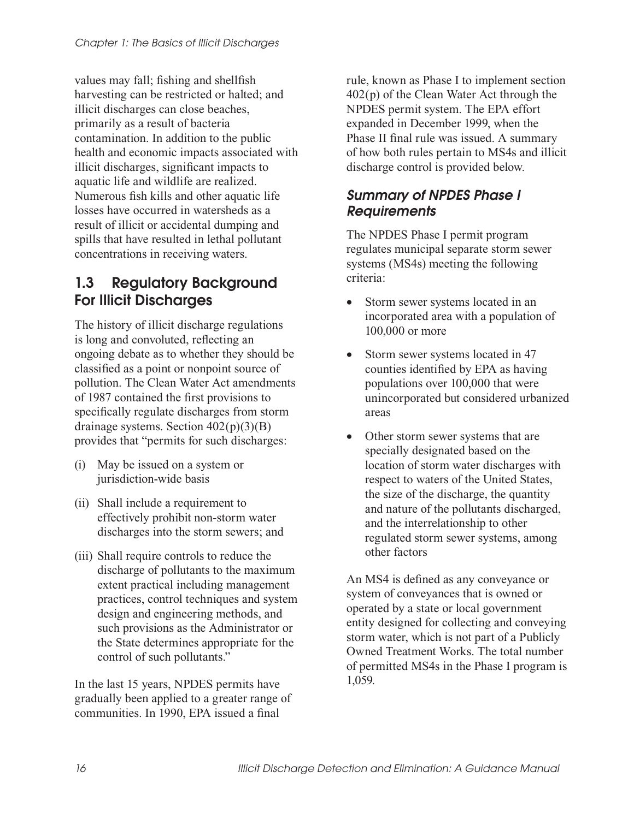values may fall; fishing and shellfish harvesting can be restricted or halted; and illicit discharges can close beaches, primarily as a result of bacteria contamination. In addition to the public health and economic impacts associated with illicit discharges, significant impacts to aquatic life and wildlife are realized. Numerous fish kills and other aquatic life losses have occurred in watersheds as a result of illicit or accidental dumping and spills that have resulted in lethal pollutant concentrations in receiving waters.

# 1.3 Regulatory Background For Illicit Discharges

The history of illicit discharge regulations is long and convoluted, reflecting an ongoing debate as to whether they should be classified as a point or nonpoint source of pollution. The Clean Water Act amendments of 1987 contained the first provisions to specifically regulate discharges from storm drainage systems. Section 402(p)(3)(B) provides that "permits for such discharges:

- (i) May be issued on a system or jurisdiction-wide basis
- (ii) Shall include a requirement to effectively prohibit non-storm water discharges into the storm sewers; and
- (iii) Shall require controls to reduce the discharge of pollutants to the maximum extent practical including management practices, control techniques and system design and engineering methods, and such provisions as the Administrator or the State determines appropriate for the control of such pollutants."

In the last 15 years, NPDES permits have gradually been applied to a greater range of communities. In 1990, EPA issued a final

rule, known as Phase I to implement section 402(p) of the Clean Water Act through the NPDES permit system. The EPA effort expanded in December 1999, when the Phase II final rule was issued. A summary of how both rules pertain to MS4s and illicit discharge control is provided below.

#### Summary of NPDES Phase I **Requirements**

The NPDES Phase I permit program regulates municipal separate storm sewer systems (MS4s) meeting the following criteria:

- Storm sewer systems located in an incorporated area with a population of 100,000 or more
- Storm sewer systems located in 47 counties identified by EPA as having populations over 100,000 that were unincorporated but considered urbanized areas
- Other storm sewer systems that are specially designated based on the location of storm water discharges with respect to waters of the United States, the size of the discharge, the quantity and nature of the pollutants discharged, and the interrelationship to other regulated storm sewer systems, among other factors

An MS4 is defined as any conveyance or system of conveyances that is owned or operated by a state or local government entity designed for collecting and conveying storm water, which is not part of a Publicly Owned Treatment Works. The total number of permitted MS4s in the Phase I program is 1,059.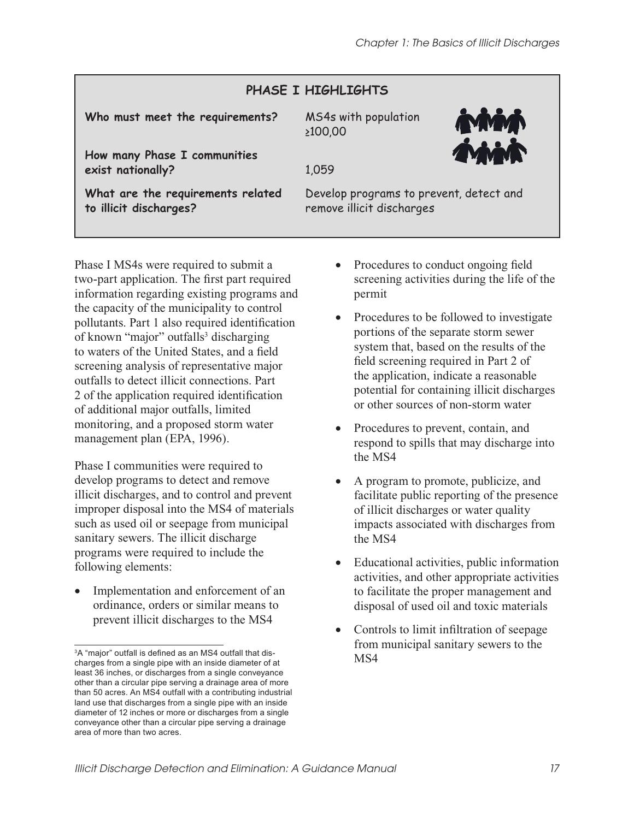# **PHASE I HIGHLIGHTS**

**Who must meet the requirements?** MS4s with population

≥100,00

**How many Phase I communities exist nationally?** 1,059

**What are the requirements related to illicit discharges?** 

Develop programs to prevent, detect and remove illicit discharges

Phase I MS4s were required to submit a two-part application. The first part required information regarding existing programs and the capacity of the municipality to control pollutants. Part 1 also required identification of known "major" outfalls<sup>3</sup> discharging to waters of the United States, and a field screening analysis of representative major outfalls to detect illicit connections. Part 2 of the application required identification of additional major outfalls, limited monitoring, and a proposed storm water management plan (EPA, 1996).

Phase I communities were required to develop programs to detect and remove illicit discharges, and to control and prevent improper disposal into the MS4 of materials such as used oil or seepage from municipal sanitary sewers. The illicit discharge programs were required to include the following elements:

Implementation and enforcement of an ordinance, orders or similar means to prevent illicit discharges to the MS4

- Procedures to conduct ongoing field screening activities during the life of the permit
- Procedures to be followed to investigate portions of the separate storm sewer system that, based on the results of the field screening required in Part 2 of the application, indicate a reasonable potential for containing illicit discharges or other sources of non-storm water
- Procedures to prevent, contain, and respond to spills that may discharge into the MS4
- A program to promote, publicize, and facilitate public reporting of the presence of illicit discharges or water quality impacts associated with discharges from the MS4
- Educational activities, public information activities, and other appropriate activities to facilitate the proper management and disposal of used oil and toxic materials
- Controls to limit infiltration of seepage from municipal sanitary sewers to the MS4

<sup>&</sup>lt;sup>3</sup>A "major" outfall is defined as an MS4 outfall that discharges from a single pipe with an inside diameter of at least 36 inches, or discharges from a single conveyance other than a circular pipe serving a drainage area of more than 50 acres. An MS4 outfall with a contributing industrial land use that discharges from a single pipe with an inside diameter of 12 inches or more or discharges from a single conveyance other than a circular pipe serving a drainage area of more than two acres.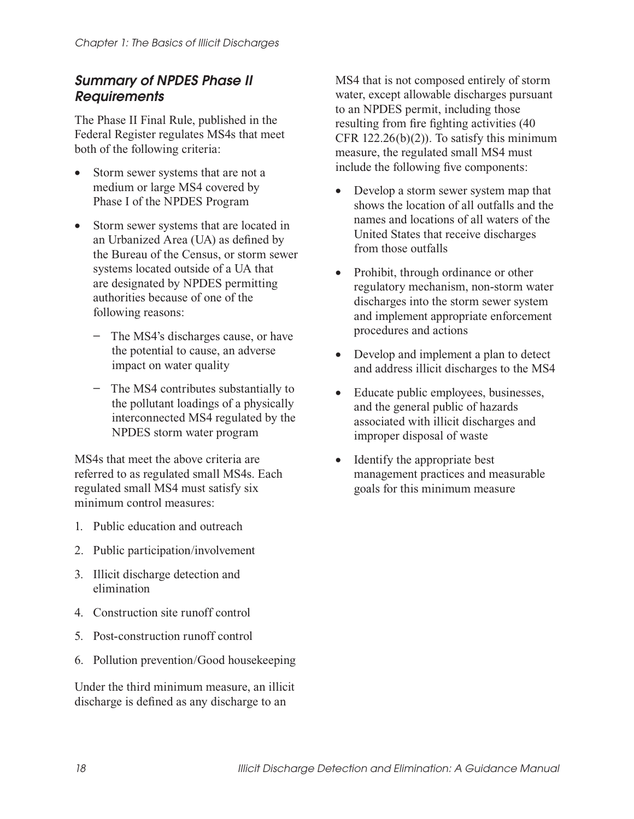#### Summary of NPDES Phase II **Requirements**

The Phase II Final Rule, published in the Federal Register regulates MS4s that meet both of the following criteria:

- Storm sewer systems that are not a medium or large MS4 covered by Phase I of the NPDES Program
- Storm sewer systems that are located in an Urbanized Area (UA) as defined by the Bureau of the Census, or storm sewer systems located outside of a UA that are designated by NPDES permitting authorities because of one of the following reasons:
	- **−** The MS4's discharges cause, or have the potential to cause, an adverse impact on water quality
	- **−** The MS4 contributes substantially to the pollutant loadings of a physically interconnected MS4 regulated by the NPDES storm water program

MS4s that meet the above criteria are referred to as regulated small MS4s. Each regulated small MS4 must satisfy six minimum control measures:

- 1. Public education and outreach
- 2. Public participation/involvement
- 3. Illicit discharge detection and elimination
- 4. Construction site runoff control
- 5. Post-construction runoff control
- 6. Pollution prevention/Good housekeeping

Under the third minimum measure, an illicit discharge is defined as any discharge to an

MS4 that is not composed entirely of storm water, except allowable discharges pursuant to an NPDES permit, including those resulting from fire fighting activities (40 CFR  $122.26(b)(2)$ ). To satisfy this minimum measure, the regulated small MS4 must include the following five components:

- Develop a storm sewer system map that shows the location of all outfalls and the names and locations of all waters of the United States that receive discharges from those outfalls
- Prohibit, through ordinance or other regulatory mechanism, non-storm water discharges into the storm sewer system and implement appropriate enforcement procedures and actions
- Develop and implement a plan to detect and address illicit discharges to the MS4
- Educate public employees, businesses, and the general public of hazards associated with illicit discharges and improper disposal of waste
- Identify the appropriate best management practices and measurable goals for this minimum measure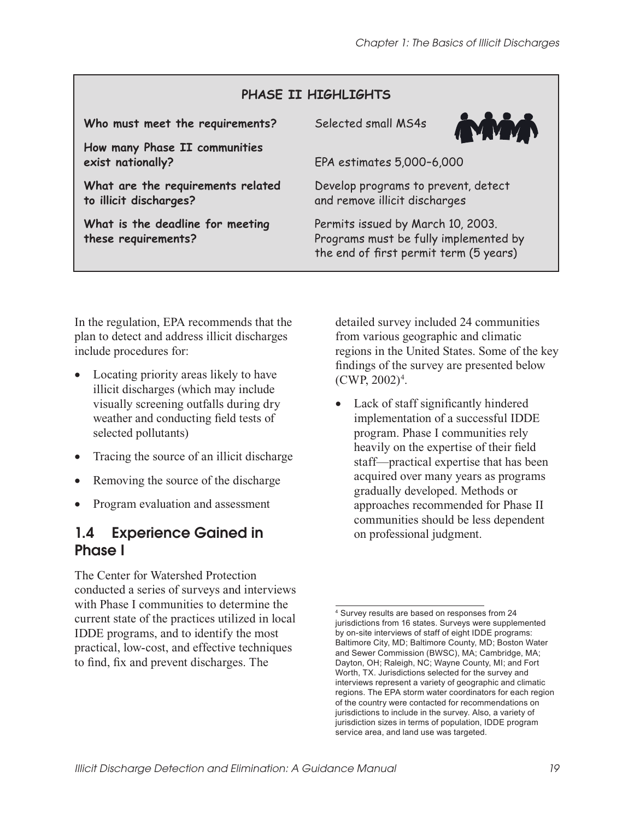#### **PHASE II HIGHLIGHTS**

**Who must meet the requirements?** Selected small MS4s

**How many Phase II communities exist nationally?** EPA estimates 5,000–6,000

**What are the requirements related to illicit discharges?** 

**What is the deadline for meeting these requirements?** 



Develop programs to prevent, detect and remove illicit discharges

Permits issued by March 10, 2003. Programs must be fully implemented by the end of first permit term (5 years)

In the regulation, EPA recommends that the plan to detect and address illicit discharges include procedures for:

- Locating priority areas likely to have illicit discharges (which may include visually screening outfalls during dry weather and conducting field tests of selected pollutants)
- Tracing the source of an illicit discharge
- Removing the source of the discharge
- Program evaluation and assessment

## 1.4 Experience Gained in Phase I

The Center for Watershed Protection conducted a series of surveys and interviews with Phase I communities to determine the current state of the practices utilized in local IDDE programs, and to identify the most practical, low-cost, and effective techniques to find, fix and prevent discharges. The

detailed survey included 24 communities from various geographic and climatic regions in the United States. Some of the key findings of the survey are presented below  $(CWP, 2002)^4$ .

Lack of staff significantly hindered implementation of a successful IDDE program. Phase I communities rely heavily on the expertise of their field staff—practical expertise that has been acquired over many years as programs gradually developed. Methods or approaches recommended for Phase II communities should be less dependent on professional judgment.

<sup>4</sup> Survey results are based on responses from 24 jurisdictions from 16 states. Surveys were supplemented by on-site interviews of staff of eight IDDE programs: Baltimore City, MD; Baltimore County, MD; Boston Water and Sewer Commission (BWSC), MA; Cambridge, MA; Dayton, OH; Raleigh, NC; Wayne County, MI; and Fort Worth, TX. Jurisdictions selected for the survey and interviews represent a variety of geographic and climatic regions. The EPA storm water coordinators for each region of the country were contacted for recommendations on jurisdictions to include in the survey. Also, a variety of jurisdiction sizes in terms of population, IDDE program service area, and land use was targeted.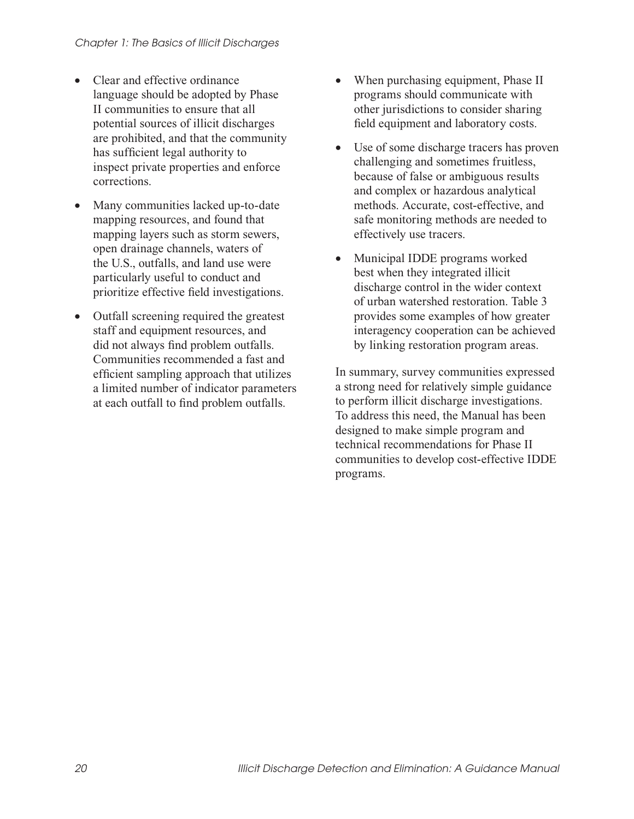- Clear and effective ordinance language should be adopted by Phase II communities to ensure that all potential sources of illicit discharges are prohibited, and that the community has sufficient legal authority to inspect private properties and enforce corrections.
- Many communities lacked up-to-date mapping resources, and found that mapping layers such as storm sewers, open drainage channels, waters of the U.S., outfalls, and land use were particularly useful to conduct and prioritize effective field investigations.
- Outfall screening required the greatest staff and equipment resources, and did not always find problem outfalls. Communities recommended a fast and efficient sampling approach that utilizes a limited number of indicator parameters at each outfall to find problem outfalls.
- When purchasing equipment, Phase II programs should communicate with other jurisdictions to consider sharing field equipment and laboratory costs.
- Use of some discharge tracers has proven challenging and sometimes fruitless, because of false or ambiguous results and complex or hazardous analytical methods. Accurate, cost-effective, and safe monitoring methods are needed to effectively use tracers.
- Municipal IDDE programs worked best when they integrated illicit discharge control in the wider context of urban watershed restoration. Table 3 provides some examples of how greater interagency cooperation can be achieved by linking restoration program areas.

In summary, survey communities expressed a strong need for relatively simple guidance to perform illicit discharge investigations. To address this need, the Manual has been designed to make simple program and technical recommendations for Phase II communities to develop cost-effective IDDE programs.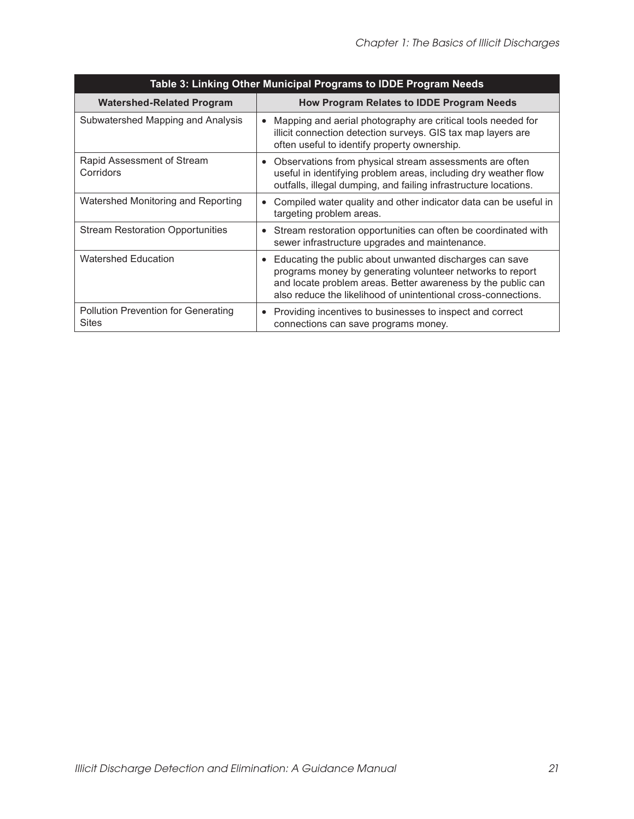| Table 3: Linking Other Municipal Programs to IDDE Program Needs |                                                                                                                                                                                                                                                                     |  |  |  |
|-----------------------------------------------------------------|---------------------------------------------------------------------------------------------------------------------------------------------------------------------------------------------------------------------------------------------------------------------|--|--|--|
| <b>Watershed-Related Program</b>                                | How Program Relates to IDDE Program Needs                                                                                                                                                                                                                           |  |  |  |
| Subwatershed Mapping and Analysis                               | Mapping and aerial photography are critical tools needed for<br>$\bullet$<br>illicit connection detection surveys. GIS tax map layers are<br>often useful to identify property ownership.                                                                           |  |  |  |
| Rapid Assessment of Stream<br>Corridors                         | Observations from physical stream assessments are often<br>$\bullet$<br>useful in identifying problem areas, including dry weather flow<br>outfalls, illegal dumping, and failing infrastructure locations.                                                         |  |  |  |
| Watershed Monitoring and Reporting                              | Compiled water quality and other indicator data can be useful in<br>$\bullet$<br>targeting problem areas.                                                                                                                                                           |  |  |  |
| <b>Stream Restoration Opportunities</b>                         | Stream restoration opportunities can often be coordinated with<br>$\bullet$<br>sewer infrastructure upgrades and maintenance.                                                                                                                                       |  |  |  |
| <b>Watershed Education</b>                                      | Educating the public about unwanted discharges can save<br>$\bullet$<br>programs money by generating volunteer networks to report<br>and locate problem areas. Better awareness by the public can<br>also reduce the likelihood of unintentional cross-connections. |  |  |  |
| <b>Pollution Prevention for Generating</b><br><b>Sites</b>      | Providing incentives to businesses to inspect and correct<br>$\bullet$<br>connections can save programs money.                                                                                                                                                      |  |  |  |